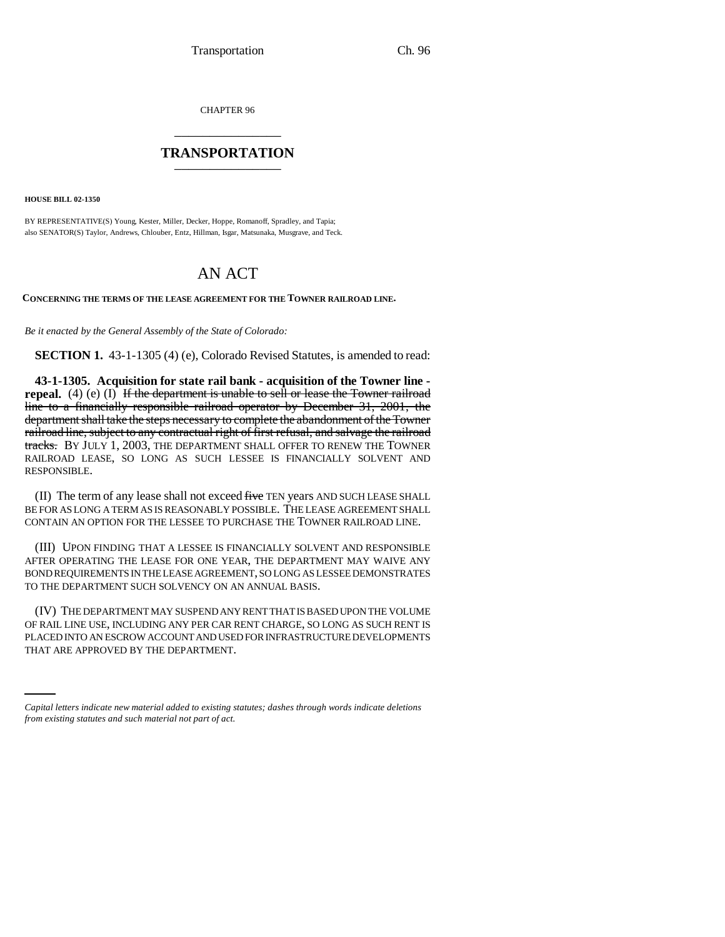CHAPTER 96 \_\_\_\_\_\_\_\_\_\_\_\_\_\_\_

## **TRANSPORTATION** \_\_\_\_\_\_\_\_\_\_\_\_\_\_\_

**HOUSE BILL 02-1350**

BY REPRESENTATIVE(S) Young, Kester, Miller, Decker, Hoppe, Romanoff, Spradley, and Tapia; also SENATOR(S) Taylor, Andrews, Chlouber, Entz, Hillman, Isgar, Matsunaka, Musgrave, and Teck.

## AN ACT

**CONCERNING THE TERMS OF THE LEASE AGREEMENT FOR THE TOWNER RAILROAD LINE.**

*Be it enacted by the General Assembly of the State of Colorado:*

**SECTION 1.** 43-1-1305 (4) (e), Colorado Revised Statutes, is amended to read:

**43-1-1305. Acquisition for state rail bank - acquisition of the Towner line repeal.** (4) (e) (I) If the department is unable to sell or lease the Towner railroad line to a financially responsible railroad operator by December 31, 2001, the department shall take the steps necessary to complete the abandonment of the Towner railroad line, subject to any contractual right of first refusal, and salvage the railroad tracks. By JULY 1, 2003, THE DEPARTMENT SHALL OFFER TO RENEW THE TOWNER RAILROAD LEASE, SO LONG AS SUCH LESSEE IS FINANCIALLY SOLVENT AND RESPONSIBLE.

(II) The term of any lease shall not exceed five TEN years AND SUCH LEASE SHALL BE FOR AS LONG A TERM AS IS REASONABLY POSSIBLE. THE LEASE AGREEMENT SHALL CONTAIN AN OPTION FOR THE LESSEE TO PURCHASE THE TOWNER RAILROAD LINE.

(III) UPON FINDING THAT A LESSEE IS FINANCIALLY SOLVENT AND RESPONSIBLE AFTER OPERATING THE LEASE FOR ONE YEAR, THE DEPARTMENT MAY WAIVE ANY BOND REQUIREMENTS IN THE LEASE AGREEMENT, SO LONG AS LESSEE DEMONSTRATES TO THE DEPARTMENT SUCH SOLVENCY ON AN ANNUAL BASIS.

PLACED INTO AN ESCROW ACCOUNT AND USED FOR INFRASTRUCTURE DEVELOPMENTS (IV) THE DEPARTMENT MAY SUSPEND ANY RENT THAT IS BASED UPON THE VOLUME OF RAIL LINE USE, INCLUDING ANY PER CAR RENT CHARGE, SO LONG AS SUCH RENT IS THAT ARE APPROVED BY THE DEPARTMENT.

*Capital letters indicate new material added to existing statutes; dashes through words indicate deletions from existing statutes and such material not part of act.*